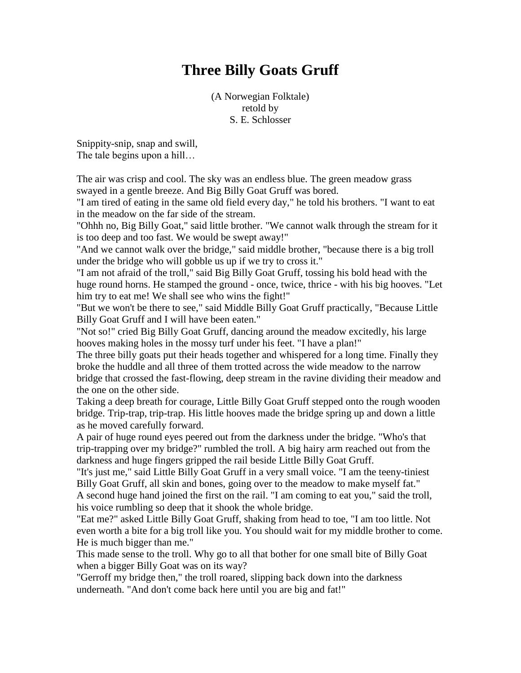## **Three Billy Goats Gruff**

(A Norwegian Folktale) retold by S. E. Schlosser

Snippity-snip, snap and swill, The tale begins upon a hill…

The air was crisp and cool. The sky was an endless blue. The green meadow grass swayed in a gentle breeze. And Big Billy Goat Gruff was bored.

"I am tired of eating in the same old field every day," he told his brothers. "I want to eat in the meadow on the far side of the stream.

"Ohhh no, Big Billy Goat," said little brother. "We cannot walk through the stream for it is too deep and too fast. We would be swept away!"

"And we cannot walk over the bridge," said middle brother, "because there is a big troll under the bridge who will gobble us up if we try to cross it."

"I am not afraid of the troll," said Big Billy Goat Gruff, tossing his bold head with the huge round horns. He stamped the ground - once, twice, thrice - with his big hooves. "Let him try to eat me! We shall see who wins the fight!"

"But we won't be there to see," said Middle Billy Goat Gruff practically, "Because Little Billy Goat Gruff and I will have been eaten."

"Not so!" cried Big Billy Goat Gruff, dancing around the meadow excitedly, his large hooves making holes in the mossy turf under his feet. "I have a plan!"

The three billy goats put their heads together and whispered for a long time. Finally they broke the huddle and all three of them trotted across the wide meadow to the narrow bridge that crossed the fast-flowing, deep stream in the ravine dividing their meadow and the one on the other side.

Taking a deep breath for courage, Little Billy Goat Gruff stepped onto the rough wooden bridge. Trip-trap, trip-trap. His little hooves made the bridge spring up and down a little as he moved carefully forward.

A pair of huge round eyes peered out from the darkness under the bridge. "Who's that trip-trapping over my bridge?" rumbled the troll. A big hairy arm reached out from the darkness and huge fingers gripped the rail beside Little Billy Goat Gruff.

"It's just me," said Little Billy Goat Gruff in a very small voice. "I am the teeny-tiniest Billy Goat Gruff, all skin and bones, going over to the meadow to make myself fat." A second huge hand joined the first on the rail. "I am coming to eat you," said the troll, his voice rumbling so deep that it shook the whole bridge.

"Eat me?" asked Little Billy Goat Gruff, shaking from head to toe, "I am too little. Not even worth a bite for a big troll like you. You should wait for my middle brother to come. He is much bigger than me."

This made sense to the troll. Why go to all that bother for one small bite of Billy Goat when a bigger Billy Goat was on its way?

"Gerroff my bridge then," the troll roared, slipping back down into the darkness underneath. "And don't come back here until you are big and fat!"